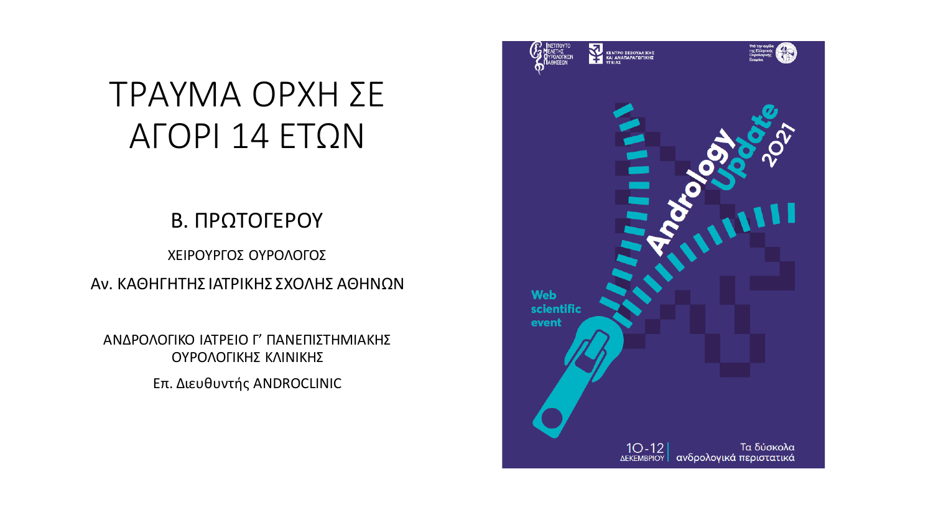## ΤΡΑΥΜΑ ΟΡΧΗ ΣΕ ΑΓΟΡΙ 14 ΕΤΩΝ

#### Β. ΠΡΩΤΟΓΕΡΟΥ

ΧΕΙΡΟΥΡΓΟΣ ΟΥΡΟΛΟΓΟΣ Αν. ΚΑΘΗΓΗΤΗΣ ΙΑΤΡΙΚΗΣ ΣΧΟΛΗΣ ΑΘΗΝΩΝ

ΑΝΔΡΟΛΟΓΙΚΟ ΙΑΤΡΕΙΟ Γ' ΠΑΝΕΠΙΣΤΗΜΙΑΚΗΣ ΟΥΡΟΛΟΓΙΚΗΣ ΚΛΙΝΙΚΗΣ Επ. Διευθυντής ANDROCLINIC

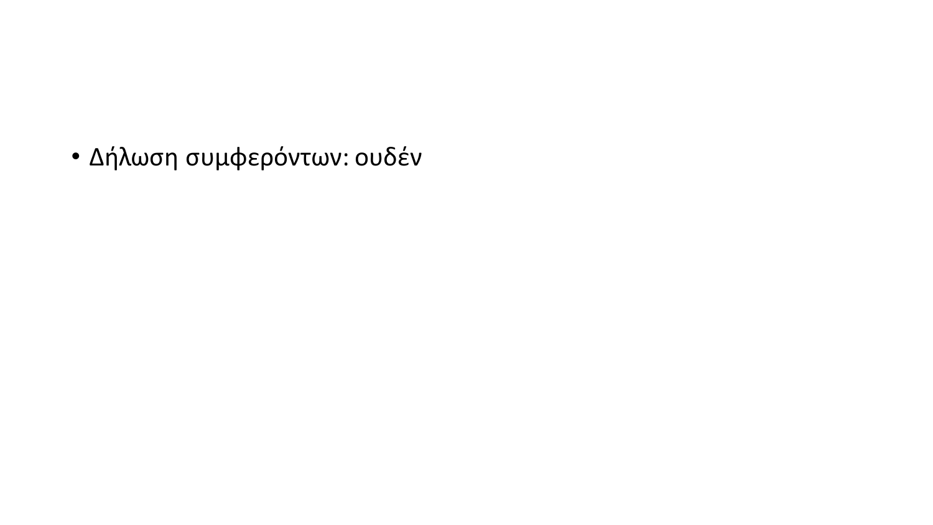• Δήλωση συμφερόντων: ουδέν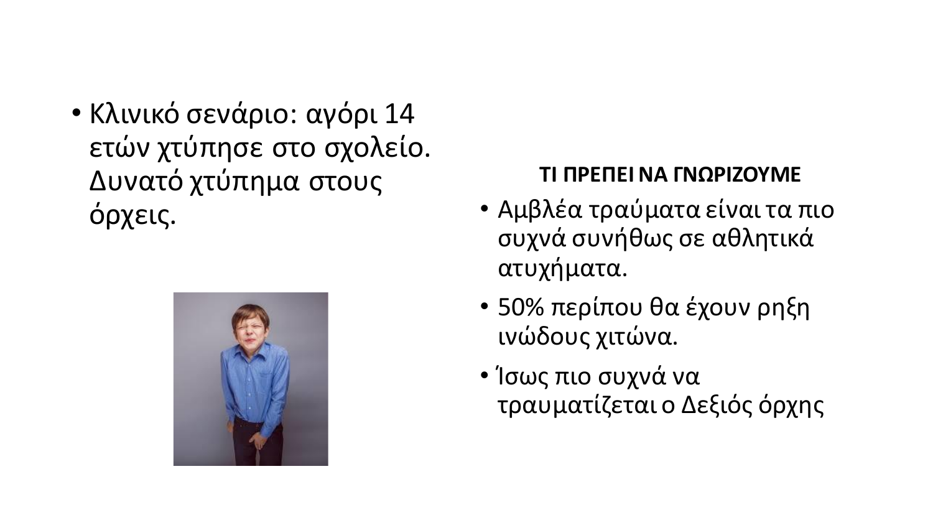• Κλινικό σενάριο: αγόρι 14 ετών χτύπησε στο σχολείο. Δυνατό χτύπημα στους όρχεις.



#### **ΤΙ ΠΡΕΠΕΙ ΝΑ ΓΝΩΡΙΖΟΥΜΕ**

- Αμβλέα τραύματα είναι τα πιο συχνά συνήθως σε αθλητικά ατυχήματα.
- 50% περίπου θα έχουν ρηξη ινώδους χιτώνα.
- Ίσως πιο συχνά να τραυματίζεται ο Δεξιός όρχης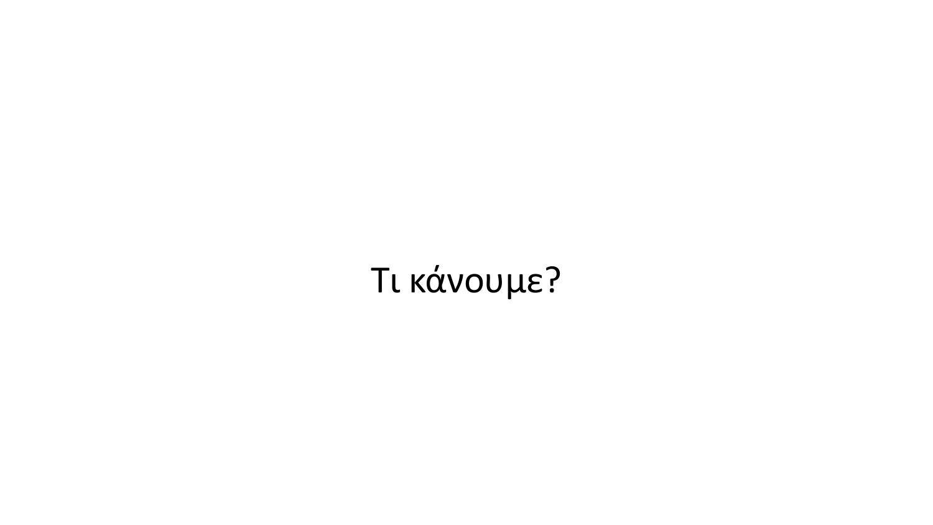## Τι κάνουμε?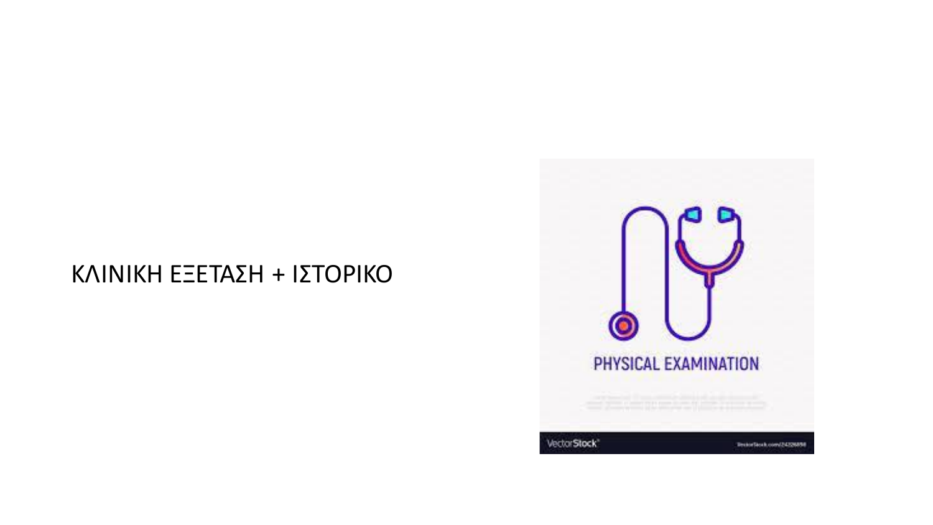#### ΚΛΙΝΙΚΗ ΕΞΕΤΑΣΗ + ΙΣΤΟΡΙΚΟ

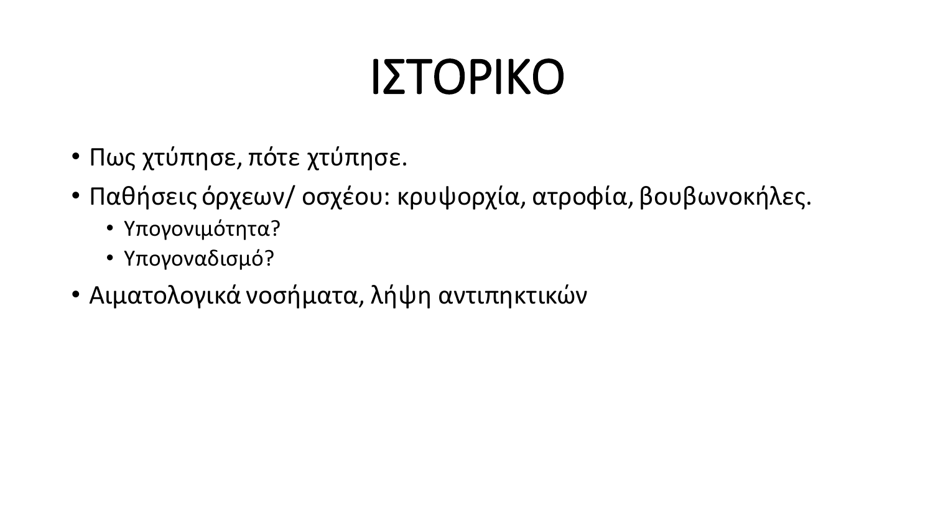# ΙΣΤΟΡΙΚΟ

- Πως χτύπησε, πότε χτύπησε.
- Παθήσεις όρχεων/ οσχέου: κρυψορχία, ατροφία, βουβωνοκήλες.
	- Υπογονιμότητα?
	- Υπογοναδισμό?
- Αιματολογικά νοσήματα, λήψη αντιπηκτικών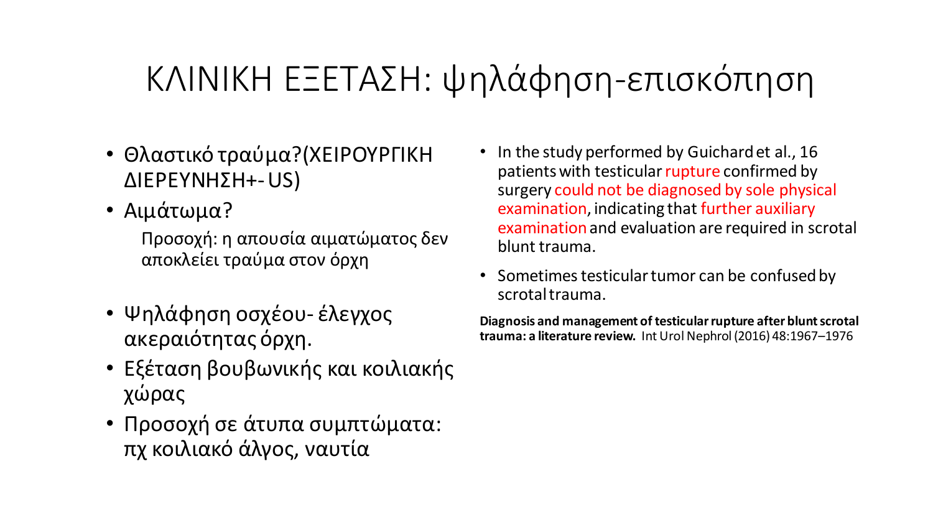## ΚΛΙΝΙΚΗ ΕΞΕΤΑΣΗ: ψηλάφηση-επισκόπηση

- Θλαστικό τραύμα?(ΧΕΙΡΟΥΡΓΙΚΗ ΔΙΕΡΕΥΝΗΣΗ+-US)
- Αιμάτωμα?

Προσοχή: η απουσία αιματώματος δεν αποκλείει τραύμα στον όρχη

- Ψηλάφηση οσχέου- έλεγχος ακεραιότητας όρχη.
- Εξέταση βουβωνικής και κοιλιακής χώρας
- Προσοχή σε άτυπα συμπτώματα: πχ κοιλιακό άλγος, ναυτία
- In the study performed by Guichard et al., 16 patients with testicular rupture confirmed by surgery could not be diagnosed by sole physical examination, indicating that further auxiliary examination and evaluation are required in scrotal blunt trauma.
- Sometimes testicular tumor can be confused by scrotal trauma.

**Diagnosis and management of testicular rupture after blunt scrotal trauma: a literature review.** Int Urol Nephrol (2016) 48:1967–1976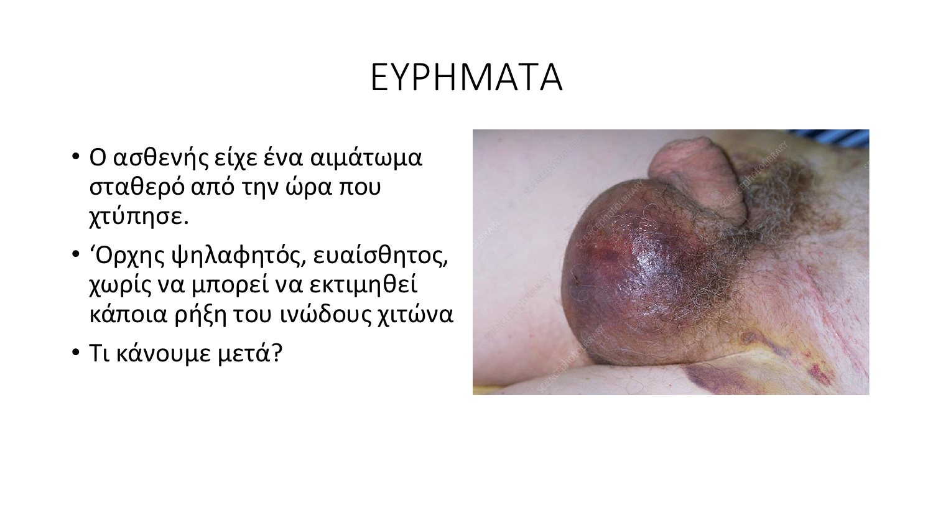## ΕΥΡΗΜΑΤΑ

- Ο ασθενής είχε ένα αιμάτωμα σταθερό από την ώρα που χτύπησε.
- 'Ορχης ψηλαφητός, ευαίσθητος, χωρίς να μπορεί να εκτιμηθεί κάποια ρήξη του ινώδους χιτώνα
- Τι κάνουμε μετά?

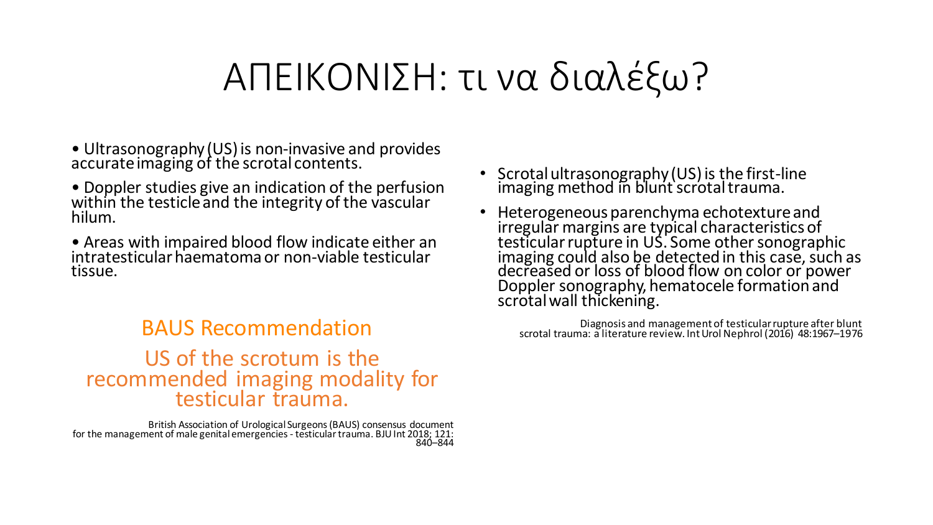## ΑΠΕΙΚΟΝΙΣΗ: τι να διαλέξω?

- Ultrasonography (US) is non-invasive and provides accurate imaging of the scrotal contents.
- Doppler studies give an indication of the perfusion within the testicle and the integrity of the vascular hilum.
- Areas with impaired blood flow indicate either an intratesticular haematoma or non-viable testicular tissue.

#### BAUS Recommendation US of the scrotum is the recommended imaging modality for testicular trauma.

British Association of Urological Surgeons (BAUS) consensus document for the management of male genital emergencies - testicular trauma. BJU Int 2018; 121: 840–844

- Scrotal ultrasonography (US) is the first-line imaging method in blunt scrotal trauma.
- Heterogeneous parenchyma echotexture and irregular margins are typical characteristics of testicular rupture in US. Some other sonographic imaging could also be detected in this case, such as decreased or loss of blood flow on color or power Doppler sonography, hematocele formation and scrotal wall thickening.

Diagnosis and management of testicular rupture after blunt scrotal trauma: a literature review. Int Urol Nephrol (2016) 48:1967–1976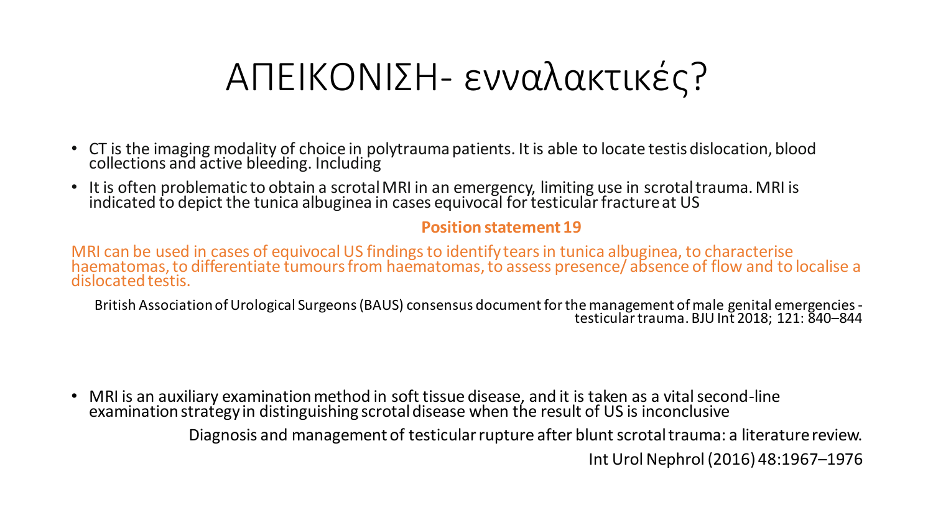## ΑΠΕΙΚΟΝΙΣΗ- ενναλακτικές?

- CT is the imaging modality of choice in polytrauma patients. It is able to locate testis dislocation, blood collections and active bleeding. Including
- It is often problematic to obtain a scrotal MRI in an emergency, limiting use in scrotal trauma. MRI is indicated to depict the tunica albuginea in cases equivocal for testicular fracture at US

#### **Position statement 19**

MRI can be used in cases of equivocal US findings to identify tears in tunica albuginea, to characterise haematomas, to differentiate tumours from haematomas, to assess presence/ absence of flow and to localise a dislocated testis.

British Association of Urological Surgeons (BAUS) consensus document for the management of male genital emergencies testicular trauma. BJU Int 2018; 121: 840–844

• MRI is an auxiliary examination method in soft tissue disease, and it is taken as a vital second-line examination strategy in distinguishing scrotal disease when the result of US is inconclusive Diagnosis and management of testicular rupture after blunt scrotal trauma: a literature review. Int Urol Nephrol (2016) 48:1967–1976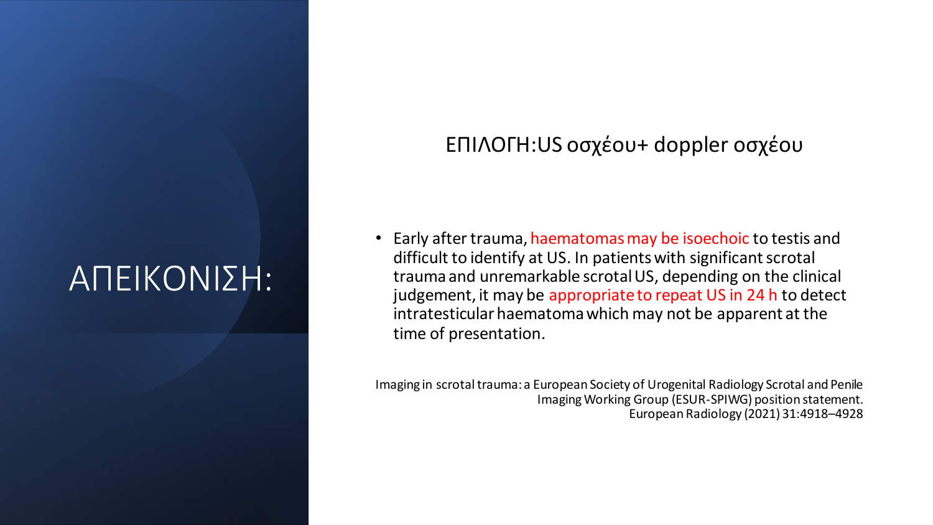## ΑΠΕΙΚΟΝΙΣΗ:

#### ΕΠΙΛΟΓΗ:US οσχέου+ doppler οσχέου

Early after trauma, haematomas may be isoechoic to testis and difficult to identify at US. In patients with significant scrotal trauma and unremarkable scrotal US, depending on the clinical judgement, it may be appropriate to repeat US in 24 h to detect intratesticular haematomawhich may not be apparent at the time of presentation.

Imaging in scrotal trauma: a European Society of Urogenital Radiology Scrotal and Penile Imaging Working Group (ESUR-SPIWG) position statement. European Radiology (2021) 31:4918–4928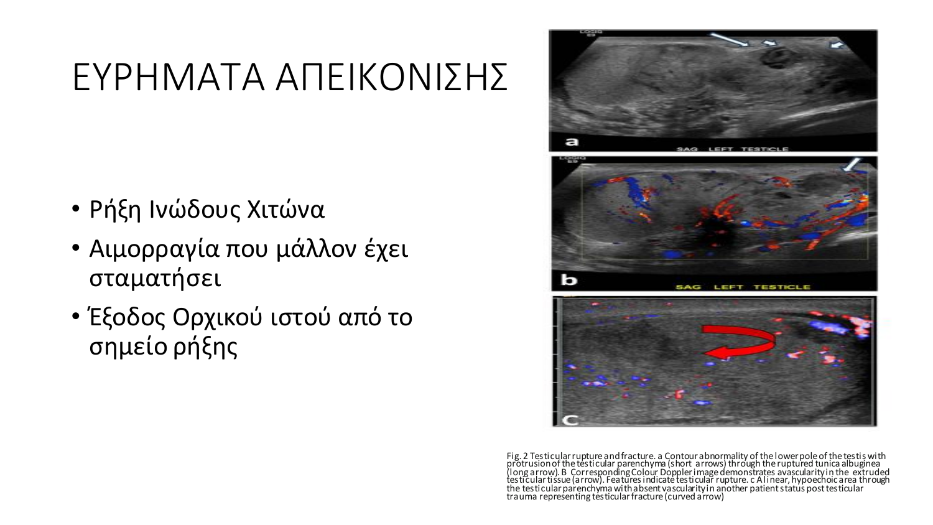## ΕΥΡΗΜΑΤΑ ΑΠΕΙΚΟΝΙΣΗΣ

- Ρήξη Ινώδους Χιτώνα
- Αιμορραγία που μάλλον έχει σταματήσει
- Έξοδος Ορχικού ιστού από το σημείο ρήξης







Fig. 2 Testicular rupture and fracture. a Contour abnormality of the lowerpole of the testis with protrusion of the testicular parenchyma (short arrows) through the ruptured tunica albuginea (long arrow). B Corresponding Colour Doppler image demonstrates avascularity in the extruded testicular tissue (arrow). Features indicate testicular rupture. c A linear, hypoechoic area through the testicular parenchyma with absent vascularity in another patient status post testicular trauma representing tés ticular fracture (curved a′rrow)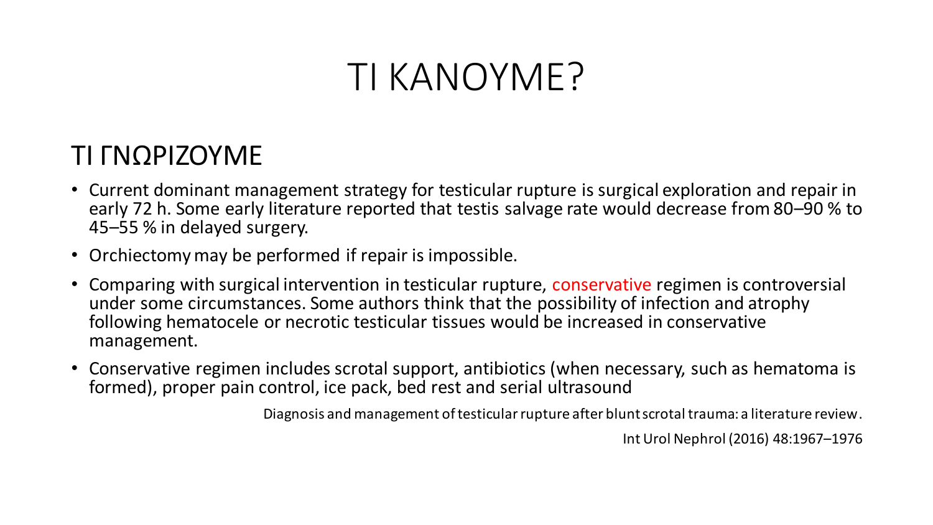## ΤΙ ΚΑΝΟΥΜΕ?

#### ΤΙ ΓΝΩΡΙΖΟΥΜΕ

- Current dominant management strategy for testicular rupture is surgical exploration and repair in early 72 h. Some early literature reported that testis salvage rate would decrease from 80–90 % to 45–55 % in delayed surgery.
- Orchiectomy may be performed if repair is impossible.
- Comparing with surgical intervention in testicular rupture, conservative regimen is controversial under some circumstances. Some authors think that the possibility of infection and atrophy following hematocele or necrotic testicular tissues would be increased in conservative management.
- Conservative regimen includes scrotal support, antibiotics (when necessary, such as hematoma is formed), proper pain control, ice pack, bed rest and serial ultrasound

Diagnosis and management of testicular rupture after blunt scrotal trauma: a literature review.

Int Urol Nephrol (2016) 48:1967–1976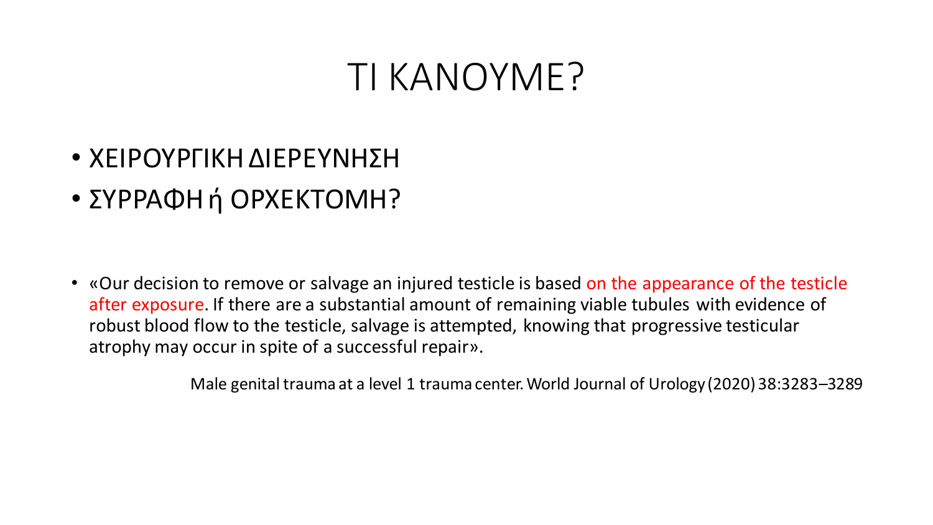### ΤΙ ΚΑΝΟΥΜΕ?

- ΧΕΙΡΟΥΡΓΙΚΗ ΔΙΕΡΕΥΝΗΣΗ
- ΣΥΡΡΑΦΗ ή ΟΡΧΕΚΤΟΜΗ?

• «Our decision to remove or salvage an injured testicle is based on the appearance of the testicle after exposure. If there are a substantial amount of remaining viable tubules with evidence of robust blood flow to the testicle, salvage is attempted, knowing that progressive testicular atrophy may occur in spite of a successful repair».

Male genital trauma at a level 1 trauma center. World Journal of Urology (2020) 38:3283–3289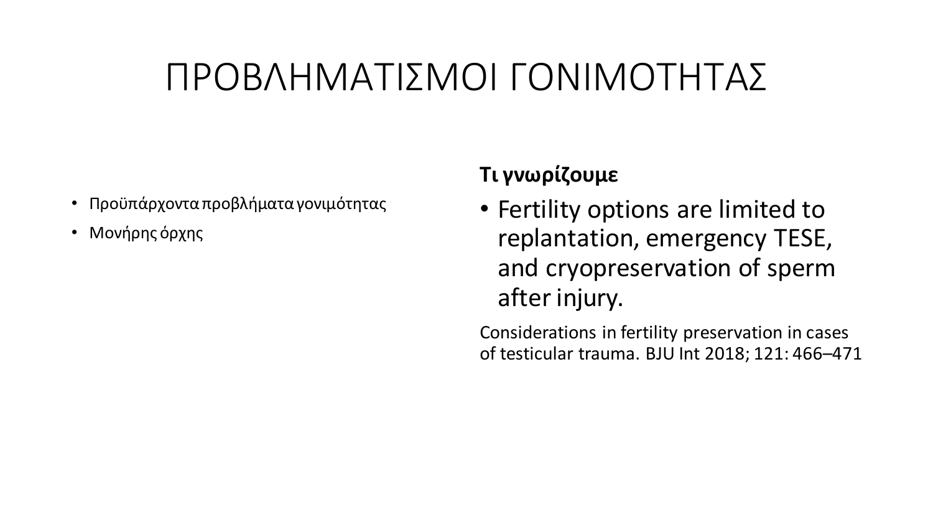## ΠΡΟΒΛΗΜΑΤΙΣΜΟΙ ΓΟΝΙΜΟΤΗΤΑΣ

- Προϋπάρχοντα προβλήματα γονιμότητας
- Μονήρης όρχης

#### **Τι γνωρίζουμε**

• Fertility options are limited to replantation, emergency TESE, and cryopreservation of sperm after injury.

Considerations in fertility preservation in cases of testicular trauma. BJU Int 2018; 121: 466–471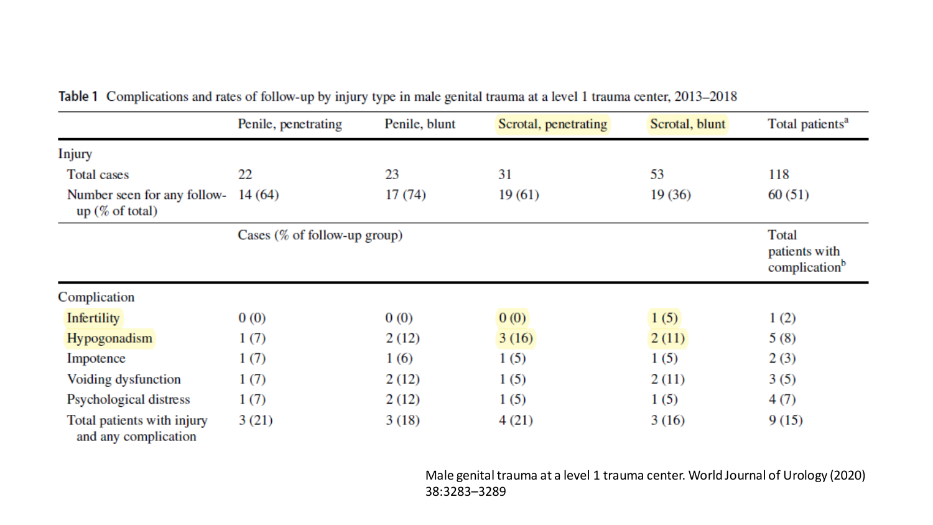|                                                    | Penile, penetrating             | Penile, blunt | Scrotal, penetrating | Scrotal, blunt | Total patients <sup>a</sup>                         |
|----------------------------------------------------|---------------------------------|---------------|----------------------|----------------|-----------------------------------------------------|
| Injury                                             |                                 |               |                      |                |                                                     |
| Total cases                                        | 22                              | 23            | 31                   | 53             | 118                                                 |
| Number seen for any follow-<br>up (% of total)     | 14(64)                          | 17(74)        | 19(61)               | 19(36)         | 60(51)                                              |
|                                                    | Cases $(\%$ of follow-up group) |               |                      |                | Total<br>patients with<br>complication <sup>b</sup> |
| Complication                                       |                                 |               |                      |                |                                                     |
| <b>Infertility</b>                                 | 0(0)                            | 0(0)          | 0(0)                 | 1(5)           | 1(2)                                                |
| Hypogonadism                                       | 1(7)                            | 2(12)         | 3(16)                | 2(11)          | 5(8)                                                |
| Impotence                                          | 1(7)                            | 1(6)          | 1(5)                 | 1(5)           | 2(3)                                                |
| Voiding dysfunction                                | 1(7)                            | 2(12)         | 1(5)                 | 2(11)          | 3(5)                                                |
| Psychological distress                             | 1(7)                            | 2(12)         | 1(5)                 | 1(5)           | 4(7)                                                |
| Total patients with injury<br>and any complication | 3(21)                           | 3(18)         | 4(21)                | 3(16)          | 9(15)                                               |

#### Table 1 Complications and rates of follow-up by injury type in male genital trauma at a level 1 trauma center, 2013-2018

Male genital trauma at a level 1 trauma center. World Journal of Urology (2020) 38:3283–3289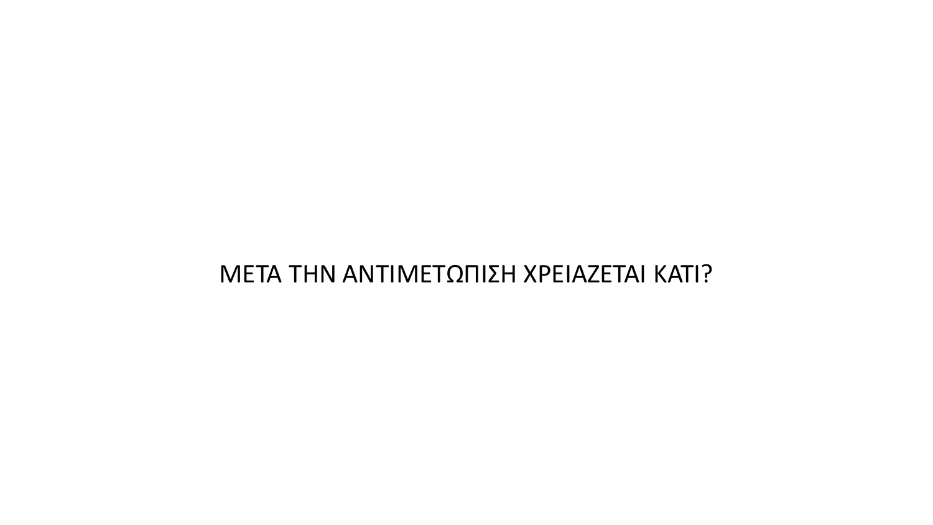#### ΜΕΤΑ ΤΗΝ ΑΝΤΙΜΕΤΩΠΙΣΗ ΧΡΕΙΑΖΕΤΑΙ ΚΑΤΙ?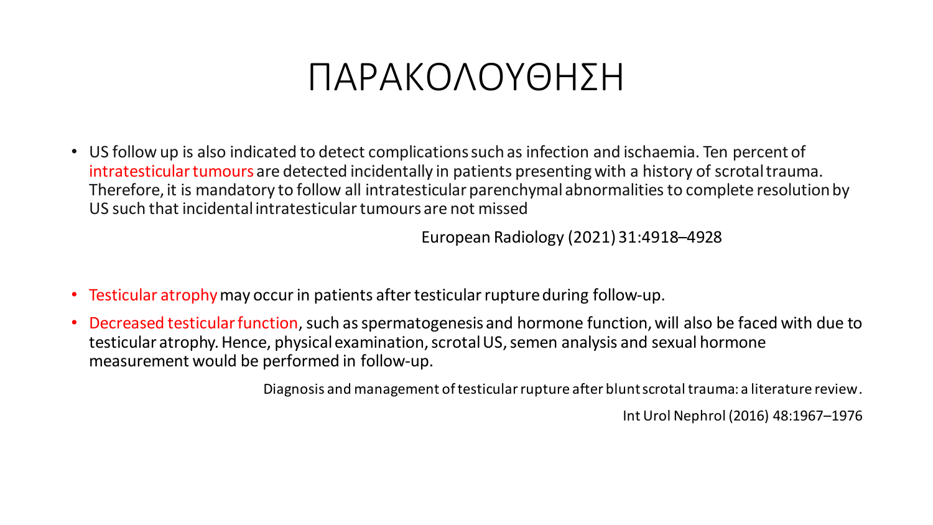### ΠΑΡΑΚΟΛΟΥΘΗΣΗ

• US follow up is also indicated to detect complications such as infection and ischaemia. Ten percent of intratesticular tumours are detected incidentally in patients presenting with a history of scrotal trauma. Therefore, it is mandatory to follow all intratesticular parenchymal abnormalities to complete resolutionby US such that incidental intratesticular tumours are not missed

European Radiology (2021) 31:4918–4928

- Testicular atrophy may occur in patients after testicular rupture during follow-up.
- Decreased testicular function, such as spermatogenesis and hormone function, will also be faced with due to testicular atrophy. Hence, physical examination, scrotal US, semen analysis and sexual hormone measurement would be performed in follow-up.

Diagnosis and management of testicular rupture after blunt scrotal trauma: a literature review.

Int Urol Nephrol (2016) 48:1967–1976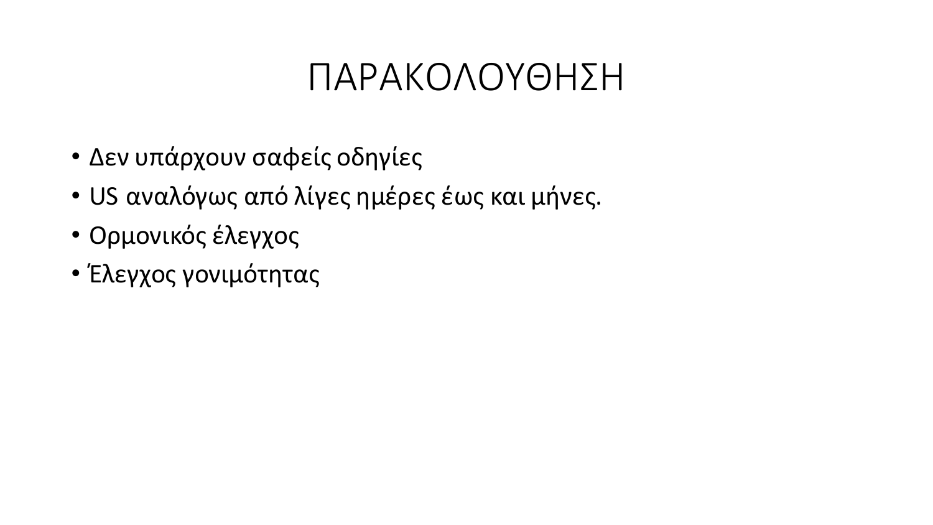## ΠΑΡΑΚΟΛΟΥΘΗΣΗ

- Δεν υπάρχουν σαφείς οδηγίες
- US αναλόγως από λίγες ημέρες έως και μήνες.
- Ορμονικός έλεγχος
- Έλεγχος γονιμότητας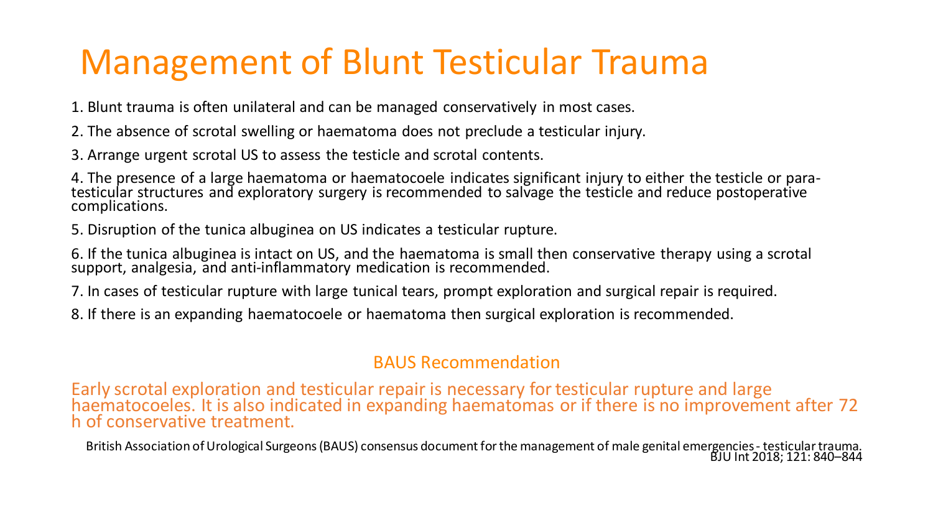### Management of Blunt Testicular Trauma

1. Blunt trauma is often unilateral and can be managed conservatively in most cases.

- 2. The absence of scrotal swelling or haematoma does not preclude a testicular injury.
- 3. Arrange urgent scrotal US to assess the testicle and scrotal contents.

4. The presence of a large haematoma or haematocoele indicates significant injury to either the testicle or paratesticular structures and exploratory surgery is recommended to salvage the testicle and reduce postoperative complications.

5. Disruption of the tunica albuginea on US indicates a testicular rupture.

6. If the tunica albuginea is intact on US, and the haematoma is small then conservative therapy using a scrotal support, analgesia, and anti-inflammatory medication is recommended.

7. In cases of testicular rupture with large tunical tears, prompt exploration and surgical repair is required.

8. If there is an expanding haematocoele or haematoma then surgical exploration is recommended.

#### BAUS Recommendation

Early scrotal exploration and testicular repair is necessary fortesticular rupture and large haematocoeles. It is also indicated in expanding haematomas or if there is no improvement after 72 h of conservative treatment.

British Association of Urological Surgeons (BAUS) consensus document for the management of male genital emergencies - testicular trauma. BJU Int 2018; 121: 840–844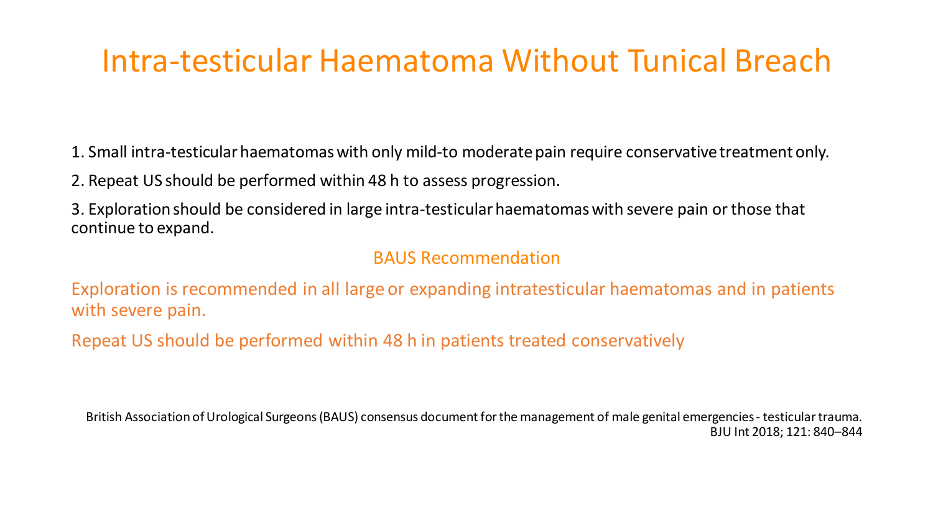#### Intra-testicular Haematoma Without Tunical Breach

1. Small intra-testicular haematomaswith only mild-to moderatepain require conservative treatment only.

2. Repeat US should be performed within 48 h to assess progression.

3. Exploration should be considered in large intra-testicularhaematomaswith severe pain or those that continue to expand.

#### BAUS Recommendation

Exploration is recommended in all large or expanding intratesticular haematomas and in patients with severe pain.

Repeat US should be performed within 48 h in patients treated conservatively

British Association of Urological Surgeons (BAUS) consensus document for the management of male genital emergencies - testicular trauma. BJU Int 2018; 121: 840–844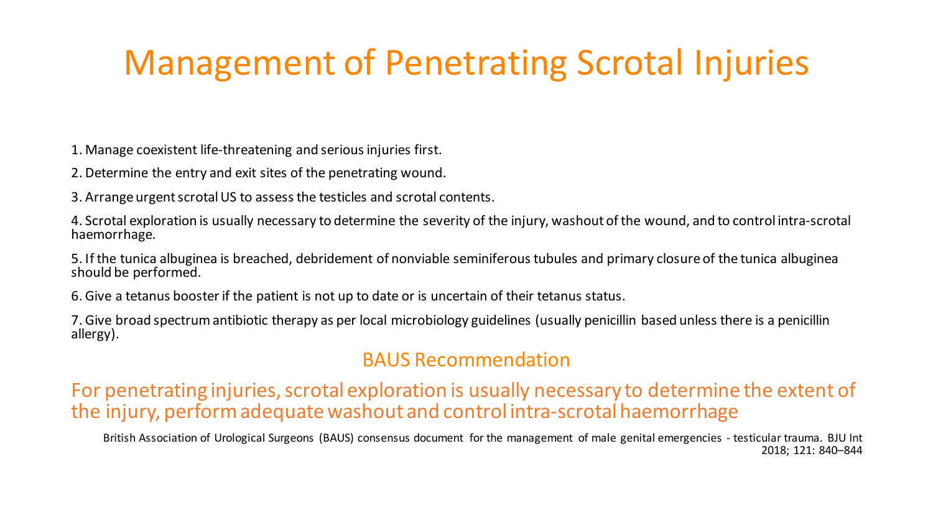#### Management of Penetrating Scrotal Injuries

1. Manage coexistent life-threatening and serious injuries first.

2. Determine the entry and exit sites of the penetrating wound.

3. Arrange urgent scrotal US to assess the testicles and scrotal contents.

4. Scrotal exploration is usually necessary to determine the severity of the injury, washout of the wound, and to control intra-scrotal haemorrhage.

5. If the tunica albuginea is breached, debridement of nonviable seminiferous tubules and primary closure of the tunica albuginea should be performed.

6. Give a tetanus booster if the patient is not up to date or is uncertain of their tetanus status.

7. Give broad spectrum antibiotic therapy as per local microbiology guidelines (usually penicillin based unless there is a penicillin allergy).

#### BAUS Recommendation

For penetrating injuries, scrotal exploration is usually necessary to determine the extent of the injury, perform adequatewashout and control intra-scrotal haemorrhage

British Association of Urological Surgeons (BAUS) consensus document for the management of male genital emergencies - testicular trauma. BJU Int 2018; 121: 840–844